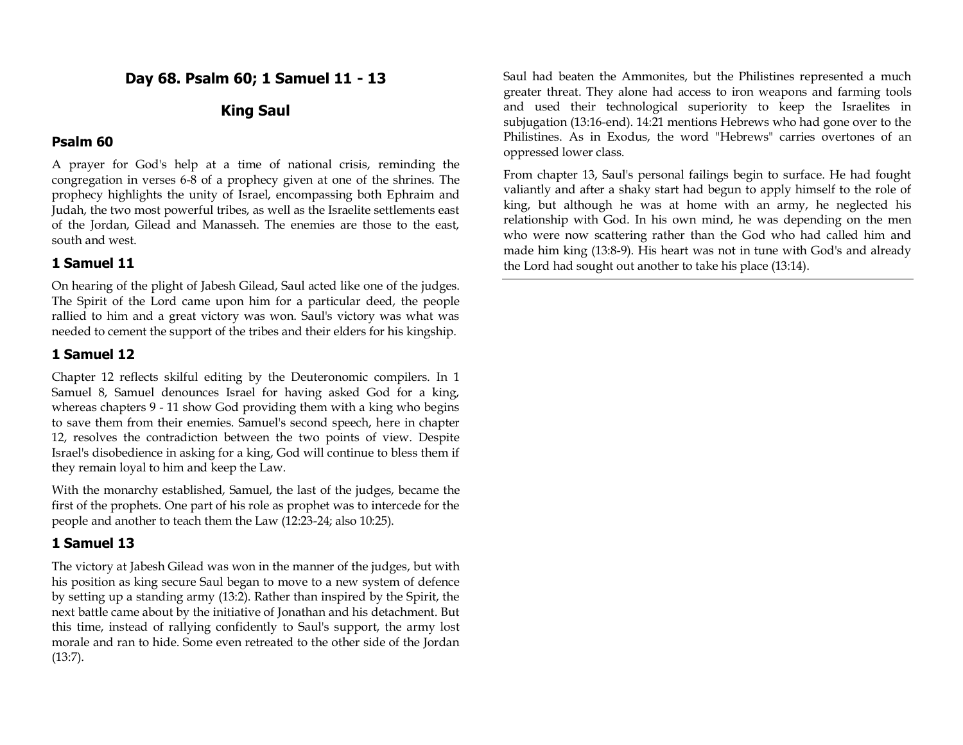**Day 68. Psalm 60; 1 Samuel 11 - 13**

# **King Saul**

### **Psalm 60**

A prayer for God's help at a time of national crisis, reminding the congregation in verses 6-8 of a prophecy given at one of the shrines. The prophecy highlights the unity of Israel, encompassing both Ephraim and Judah, the two most powerful tribes, as well as the Israelite settlements east of the Jordan, Gilead and Manasseh. The enemies are those to the east, south and west.

### **1 Samuel 11**

On hearing of the plight of Jabesh Gilead, Saul acted like one of the judges. The Spirit of the Lord came upon him for a particular deed, the people rallied to him and a great victory was won. Saul's victory was what was needed to cement the support of the tribes and their elders for his kingship.

### **1 Samuel 12**

Chapter 12 reflects skilful editing by the Deuteronomic compilers. In 1 Samuel 8, Samuel denounces Israel for having asked God for a king, whereas chapters 9 - 11 show God providing them with a king who begins to save them from their enemies. Samuel's second speech, here in chapter 12, resolves the contradiction between the two points of view. Despite Israel's disobedience in asking for a king, God will continue to bless them if they remain loyal to him and keep the Law.

With the monarchy established, Samuel, the last of the judges, became the first of the prophets. One part of his role as prophet was to intercede for the people and another to teach them the Law (12:23-24; also 10:25).

### **1 Samuel 13**

The victory at Jabesh Gilead was won in the manner of the judges, but with his position as king secure Saul began to move to a new system of defence by setting up a standing army (13:2). Rather than inspired by the Spirit, the next battle came about by the initiative of Jonathan and his detachment. But this time, instead of rallying confidently to Saul's support, the army lost morale and ran to hide. Some even retreated to the other side of the Jordan (13:7).

Saul had beaten the Ammonites, but the Philistines represented a much greater threat. They alone had access to iron weapons and farming tools and used their technological superiority to keep the Israelites in subjugation (13:16-end). 14:21 mentions Hebrews who had gone over to the Philistines. As in Exodus, the word "Hebrews" carries overtones of an oppressed lower class.

From chapter 13, Saul's personal failings begin to surface. He had fought valiantly and after a shaky start had begun to apply himself to the role of king, but although he was at home with an army, he neglected his relationship with God. In his own mind, he was depending on the men who were now scattering rather than the God who had called him and made him king (13:8-9). His heart was not in tune with God's and already the Lord had sought out another to take his place (13:14).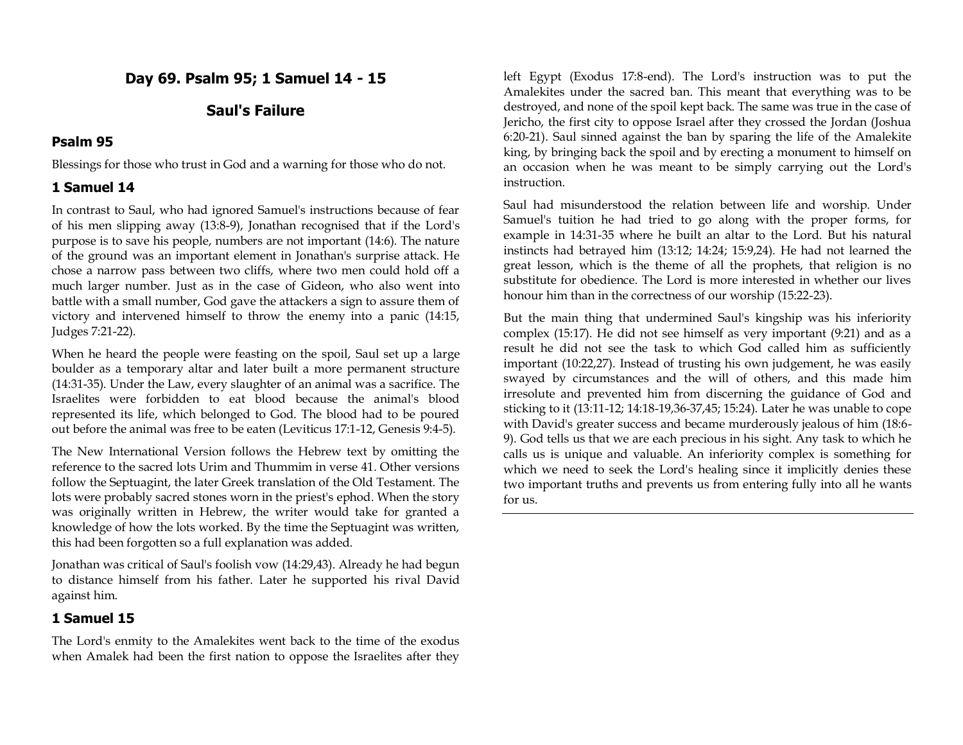**Day 69. Psalm 95; 1 Samuel 14 - 15**

## **Saul's Failure**

### **Psalm 95**

Blessings for those who trust in God and a warning for those who do not.

### **1 Samuel 14**

In contrast to Saul, who had ignored Samuel's instructions because of fear of his men slipping away (13:8-9), Jonathan recognised that if the Lord's purpose is to save his people, numbers are not important (14:6). The nature of the ground was an important element in Jonathan's surprise attack. He chose a narrow pass between two cliffs, where two men could hold off a much larger number. Just as in the case of Gideon, who also went into battle with a small number, God gave the attackers a sign to assure them of victory and intervened himself to throw the enemy into a panic (14:15, Judges 7:21-22).

When he heard the people were feasting on the spoil, Saul set up a large boulder as a temporary altar and later built a more permanent structure (14:31-35). Under the Law, every slaughter of an animal was a sacrifice. The Israelites were forbidden to eat blood because the animal's blood represented its life, which belonged to God. The blood had to be poured out before the animal was free to be eaten (Leviticus 17:1-12, Genesis 9:4-5).

The New International Version follows the Hebrew text by omitting the reference to the sacred lots Urim and Thummim in verse 41. Other versions follow the Septuagint, the later Greek translation of the Old Testament. The lots were probably sacred stones worn in the priest's ephod. When the story was originally written in Hebrew, the writer would take for granted a knowledge of how the lots worked. By the time the Septuagint was written, this had been forgotten so a full explanation was added.

Jonathan was critical of Saul's foolish vow (14:29,43). Already he had begun to distance himself from his father. Later he supported his rival David against him.

### **1 Samuel 15**

The Lord's enmity to the Amalekites went back to the time of the exodus when Amalek had been the first nation to oppose the Israelites after they

left Egypt (Exodus 17:8-end). The Lord's instruction was to put the Amalekites under the sacred ban. This meant that everything was to be destroyed, and none of the spoil kept back. The same was true in the case of Jericho, the first city to oppose Israel after they crossed the Jordan (Joshua 6:20-21). Saul sinned against the ban by sparing the life of the Amalekite king, by bringing back the spoil and by erecting a monument to himself on an occasion when he was meant to be simply carrying out the Lord's instruction.

Saul had misunderstood the relation between life and worship. Under Samuel's tuition he had tried to go along with the proper forms, for example in 14:31-35 where he built an altar to the Lord. But his natural instincts had betrayed him (13:12; 14:24; 15:9,24). He had not learned the great lesson, which is the theme of all the prophets, that religion is no substitute for obedience. The Lord is more interested in whether our lives honour him than in the correctness of our worship (15:22-23).

But the main thing that undermined Saul's kingship was his inferiority complex (15:17). He did not see himself as very important (9:21) and as a result he did not see the task to which God called him as sufficiently important (10:22,27). Instead of trusting his own judgement, he was easily swayed by circumstances and the will of others, and this made him irresolute and prevented him from discerning the guidance of God and sticking to it (13:11-12; 14:18-19,36-37,45; 15:24). Later he was unable to cope with David's greater success and became murderously jealous of him (18:6- 9). God tells us that we are each precious in his sight. Any task to which he calls us is unique and valuable. An inferiority complex is something for which we need to seek the Lord's healing since it implicitly denies these two important truths and prevents us from entering fully into all he wants for us.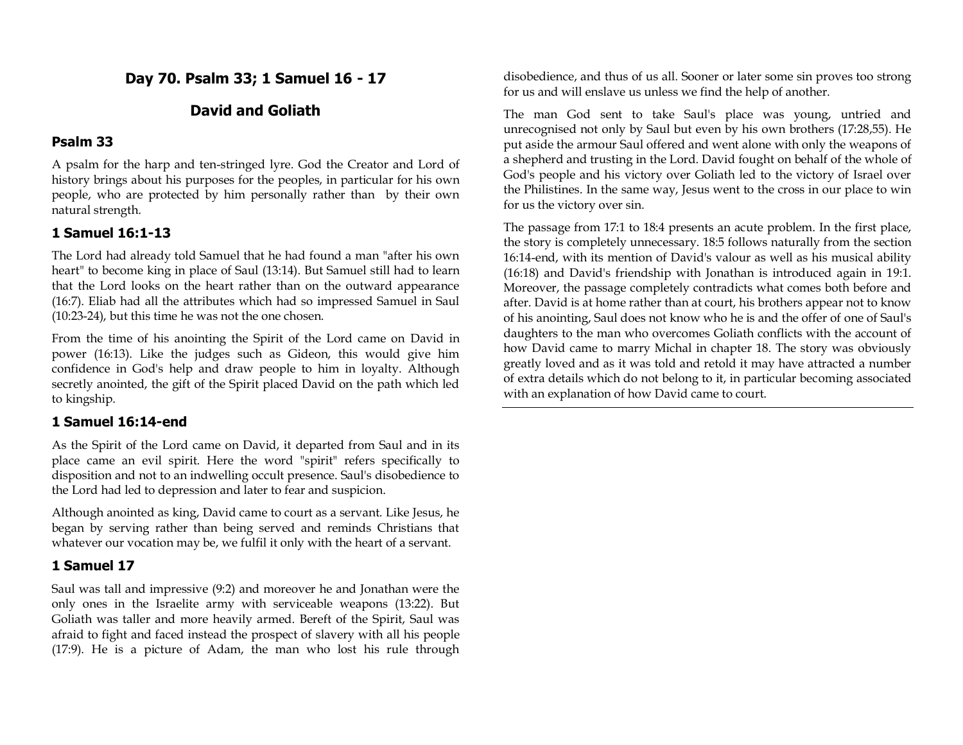**Day 70. Psalm 33; 1 Samuel 16 - 17**

## **David and Goliath**

### **Psalm 33**

A psalm for the harp and ten-stringed lyre. God the Creator and Lord of history brings about his purposes for the peoples, in particular for his own people, who are protected by him personally rather than by their own natural strength.

### **1 Samuel 16:1-13**

The Lord had already told Samuel that he had found a man "after his own heart" to become king in place of Saul (13:14). But Samuel still had to learn that the Lord looks on the heart rather than on the outward appearance (16:7). Eliab had all the attributes which had so impressed Samuel in Saul (10:23-24), but this time he was not the one chosen.

From the time of his anointing the Spirit of the Lord came on David in power (16:13). Like the judges such as Gideon, this would give him confidence in God's help and draw people to him in loyalty. Although secretly anointed, the gift of the Spirit placed David on the path which led to kingship.

### **1 Samuel 16:14-end**

As the Spirit of the Lord came on David, it departed from Saul and in its place came an evil spirit. Here the word "spirit" refers specifically to disposition and not to an indwelling occult presence. Saul's disobedience to the Lord had led to depression and later to fear and suspicion.

Although anointed as king, David came to court as a servant. Like Jesus, he began by serving rather than being served and reminds Christians that whatever our vocation may be, we fulfil it only with the heart of a servant.

#### **1 Samuel 17**

Saul was tall and impressive (9:2) and moreover he and Jonathan were the only ones in the Israelite army with serviceable weapons (13:22). But Goliath was taller and more heavily armed. Bereft of the Spirit, Saul was afraid to fight and faced instead the prospect of slavery with all his people (17:9). He is a picture of Adam, the man who lost his rule through disobedience, and thus of us all. Sooner or later some sin proves too strong for us and will enslave us unless we find the help of another.

The man God sent to take Saul's place was young, untried and unrecognised not only by Saul but even by his own brothers (17:28,55). He put aside the armour Saul offered and went alone with only the weapons of a shepherd and trusting in the Lord. David fought on behalf of the whole of God's people and his victory over Goliath led to the victory of Israel over the Philistines. In the same way, Jesus went to the cross in our place to win for us the victory over sin.

The passage from 17:1 to 18:4 presents an acute problem. In the first place, the story is completely unnecessary. 18:5 follows naturally from the section 16:14-end, with its mention of David's valour as well as his musical ability (16:18) and David's friendship with Jonathan is introduced again in 19:1. Moreover, the passage completely contradicts what comes both before and after. David is at home rather than at court, his brothers appear not to know of his anointing, Saul does not know who he is and the offer of one of Saul's daughters to the man who overcomes Goliath conflicts with the account of how David came to marry Michal in chapter 18. The story was obviously greatly loved and as it was told and retold it may have attracted a number of extra details which do not belong to it, in particular becoming associated with an explanation of how David came to court.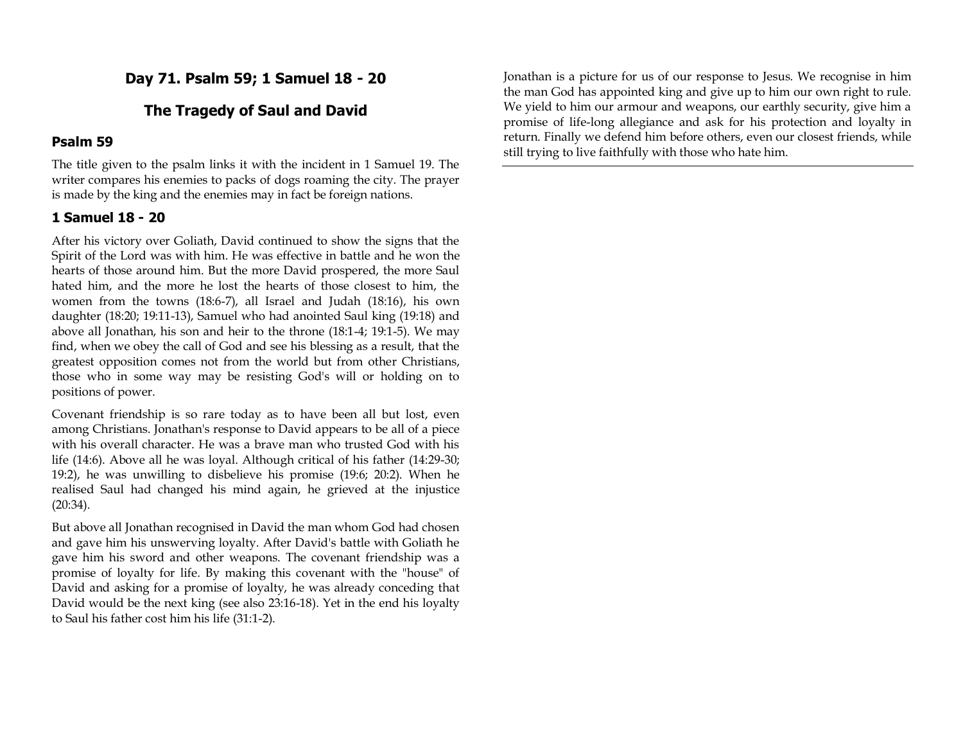**Day 71. Psalm 59; 1 Samuel 18 - 20**

## **The Tragedy of Saul and David**

#### **Psalm 59**

The title given to the psalm links it with the incident in 1 Samuel 19. The writer compares his enemies to packs of dogs roaming the city. The prayer is made by the king and the enemies may in fact be foreign nations.

# **1 Samuel 18 - 20**

After his victory over Goliath, David continued to show the signs that the Spirit of the Lord was with him. He was effective in battle and he won the hearts of those around him. But the more David prospered, the more Saul hated him, and the more he lost the hearts of those closest to him, the women from the towns (18:6-7), all Israel and Judah (18:16), his own daughter (18:20; 19:11-13), Samuel who had anointed Saul king (19:18) and above all Jonathan, his son and heir to the throne (18:1-4; 19:1-5). We may find, when we obey the call of God and see his blessing as a result, that the greatest opposition comes not from the world but from other Christians, those who in some way may be resisting God's will or holding on to positions of power.

Covenant friendship is so rare today as to have been all but lost, even among Christians. Jonathan's response to David appears to be all of a piece with his overall character. He was a brave man who trusted God with his life (14:6). Above all he was loyal. Although critical of his father (14:29-30; 19:2), he was unwilling to disbelieve his promise (19:6; 20:2). When he realised Saul had changed his mind again, he grieved at the injustice (20:34).

But above all Jonathan recognised in David the man whom God had chosen and gave him his unswerving loyalty. After David's battle with Goliath he gave him his sword and other weapons. The covenant friendship was a promise of loyalty for life. By making this covenant with the "house" of David and asking for a promise of loyalty, he was already conceding that David would be the next king (see also 23:16-18). Yet in the end his loyalty to Saul his father cost him his life (31:1-2).

Jonathan is a picture for us of our response to Jesus. We recognise in him the man God has appointed king and give up to him our own right to rule. We yield to him our armour and weapons, our earthly security, give him a promise of life-long allegiance and ask for his protection and loyalty in return. Finally we defend him before others, even our closest friends, while still trying to live faithfully with those who hate him.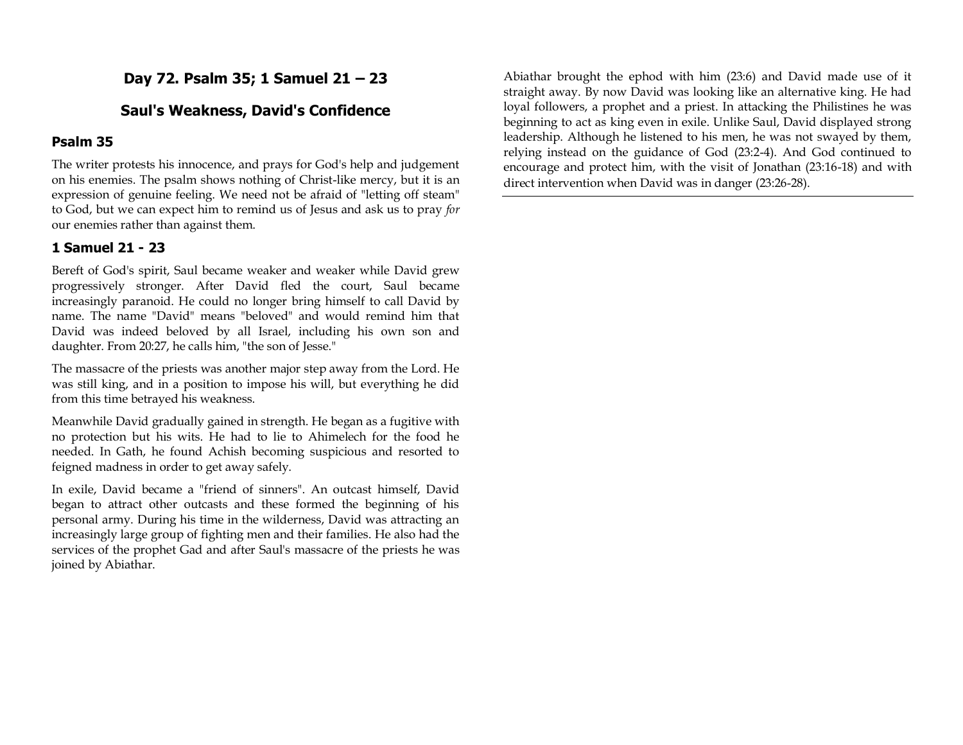**Day 72. Psalm 35; 1 Samuel 21 – 23**

## **Saul's Weakness, David's Confidence**

#### **Psalm 35**

The writer protests his innocence, and prays for God's help and judgement on his enemies. The psalm shows nothing of Christ-like mercy, but it is an expression of genuine feeling. We need not be afraid of "letting off steam" to God, but we can expect him to remind us of Jesus and ask us to pray *for*  our enemies rather than against them.

### **1 Samuel 21 - 23**

Bereft of God's spirit, Saul became weaker and weaker while David grew progressively stronger. After David fled the court, Saul became increasingly paranoid. He could no longer bring himself to call David by name. The name "David" means "beloved" and would remind him that David was indeed beloved by all Israel, including his own son and daughter. From 20:27, he calls him, "the son of Jesse."

The massacre of the priests was another major step away from the Lord. He was still king, and in a position to impose his will, but everything he did from this time betrayed his weakness.

Meanwhile David gradually gained in strength. He began as a fugitive with no protection but his wits. He had to lie to Ahimelech for the food he needed. In Gath, he found Achish becoming suspicious and resorted to feigned madness in order to get away safely.

In exile, David became a "friend of sinners". An outcast himself, David began to attract other outcasts and these formed the beginning of his personal army. During his time in the wilderness, David was attracting an increasingly large group of fighting men and their families. He also had the services of the prophet Gad and after Saul's massacre of the priests he was joined by Abiathar.

Abiathar brought the ephod with him (23:6) and David made use of it straight away. By now David was looking like an alternative king. He had loyal followers, a prophet and a priest. In attacking the Philistines he was beginning to act as king even in exile. Unlike Saul, David displayed strong leadership. Although he listened to his men, he was not swayed by them, relying instead on the guidance of God (23:2-4). And God continued to encourage and protect him, with the visit of Jonathan (23:16-18) and with direct intervention when David was in danger (23:26-28).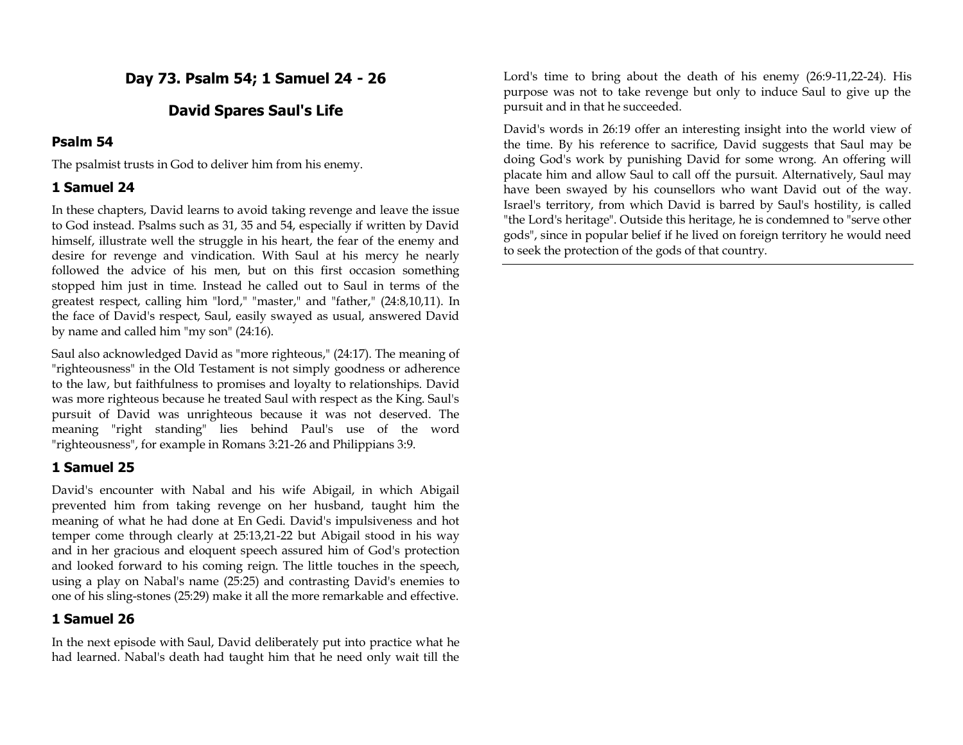# **Day 73. Psalm 54; 1 Samuel 24 - 26**

# **David Spares Saul's Life**

## **Psalm 54**

The psalmist trusts in God to deliver him from his enemy.

### **1 Samuel 24**

In these chapters, David learns to avoid taking revenge and leave the issue to God instead. Psalms such as 31, 35 and 54, especially if written by David himself, illustrate well the struggle in his heart, the fear of the enemy and desire for revenge and vindication. With Saul at his mercy he nearly followed the advice of his men, but on this first occasion something stopped him just in time. Instead he called out to Saul in terms of the greatest respect, calling him "lord," "master," and "father," (24:8,10,11). In the face of David's respect, Saul, easily swayed as usual, answered David by name and called him "my son" (24:16).

Saul also acknowledged David as "more righteous," (24:17). The meaning of "righteousness" in the Old Testament is not simply goodness or adherence to the law, but faithfulness to promises and loyalty to relationships. David was more righteous because he treated Saul with respect as the King. Saul's pursuit of David was unrighteous because it was not deserved. The meaning "right standing" lies behind Paul's use of the word "righteousness", for example in Romans 3:21-26 and Philippians 3:9.

## **1 Samuel 25**

David's encounter with Nabal and his wife Abigail, in which Abigail prevented him from taking revenge on her husband, taught him the meaning of what he had done at En Gedi. David's impulsiveness and hot temper come through clearly at 25:13,21-22 but Abigail stood in his way and in her gracious and eloquent speech assured him of God's protection and looked forward to his coming reign. The little touches in the speech, using a play on Nabal's name (25:25) and contrasting David's enemies to one of his sling-stones (25:29) make it all the more remarkable and effective.

## **1 Samuel 26**

In the next episode with Saul, David deliberately put into practice what he had learned. Nabal's death had taught him that he need only wait till the Lord's time to bring about the death of his enemy (26:9-11,22-24). His purpose was not to take revenge but only to induce Saul to give up the pursuit and in that he succeeded.

David's words in 26:19 offer an interesting insight into the world view of the time. By his reference to sacrifice, David suggests that Saul may be doing God's work by punishing David for some wrong. An offering will placate him and allow Saul to call off the pursuit. Alternatively, Saul may have been swayed by his counsellors who want David out of the way. Israel's territory, from which David is barred by Saul's hostility, is called "the Lord's heritage". Outside this heritage, he is condemned to "serve other gods", since in popular belief if he lived on foreign territory he would need to seek the protection of the gods of that country.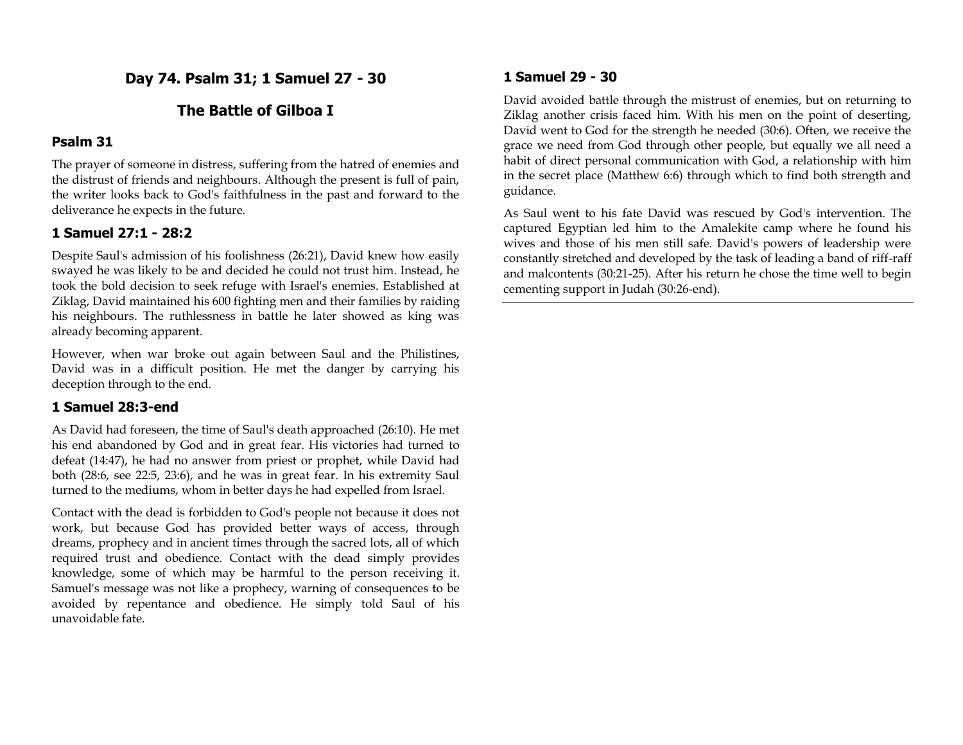**Day 74. Psalm 31; 1 Samuel 27 - 30**

## **The Battle of Gilboa I**

### **Psalm 31**

The prayer of someone in distress, suffering from the hatred of enemies and the distrust of friends and neighbours. Although the present is full of pain, the writer looks back to God's faithfulness in the past and forward to the deliverance he expects in the future.

### **1 Samuel 27:1 - 28:2**

Despite Saul's admission of his foolishness (26:21), David knew how easily swayed he was likely to be and decided he could not trust him. Instead, he took the bold decision to seek refuge with Israel's enemies. Established at Ziklag, David maintained his 600 fighting men and their families by raiding his neighbours. The ruthlessness in battle he later showed as king was already becoming apparent.

However, when war broke out again between Saul and the Philistines, David was in a difficult position. He met the danger by carrying his deception through to the end.

#### **1 Samuel 28:3-end**

As David had foreseen, the time of Saul's death approached (26:10). He met his end abandoned by God and in great fear. His victories had turned to defeat (14:47), he had no answer from priest or prophet, while David had both (28:6, see 22:5, 23:6), and he was in great fear. In his extremity Saul turned to the mediums, whom in better days he had expelled from Israel.

Contact with the dead is forbidden to God's people not because it does not work, but because God has provided better ways of access, through dreams, prophecy and in ancient times through the sacred lots, all of which required trust and obedience. Contact with the dead simply provides knowledge, some of which may be harmful to the person receiving it. Samuel's message was not like a prophecy, warning of consequences to be avoided by repentance and obedience. He simply told Saul of his unavoidable fate.

### **1 Samuel 29 - 30**

David avoided battle through the mistrust of enemies, but on returning to Ziklag another crisis faced him. With his men on the point of deserting, David went to God for the strength he needed (30:6). Often, we receive the grace we need from God through other people, but equally we all need a habit of direct personal communication with God, a relationship with him in the secret place (Matthew 6:6) through which to find both strength and guidance.

As Saul went to his fate David was rescued by God's intervention. The captured Egyptian led him to the Amalekite camp where he found his wives and those of his men still safe. David's powers of leadership were constantly stretched and developed by the task of leading a band of riff-raff and malcontents (30:21-25). After his return he chose the time well to begin cementing support in Judah (30:26-end).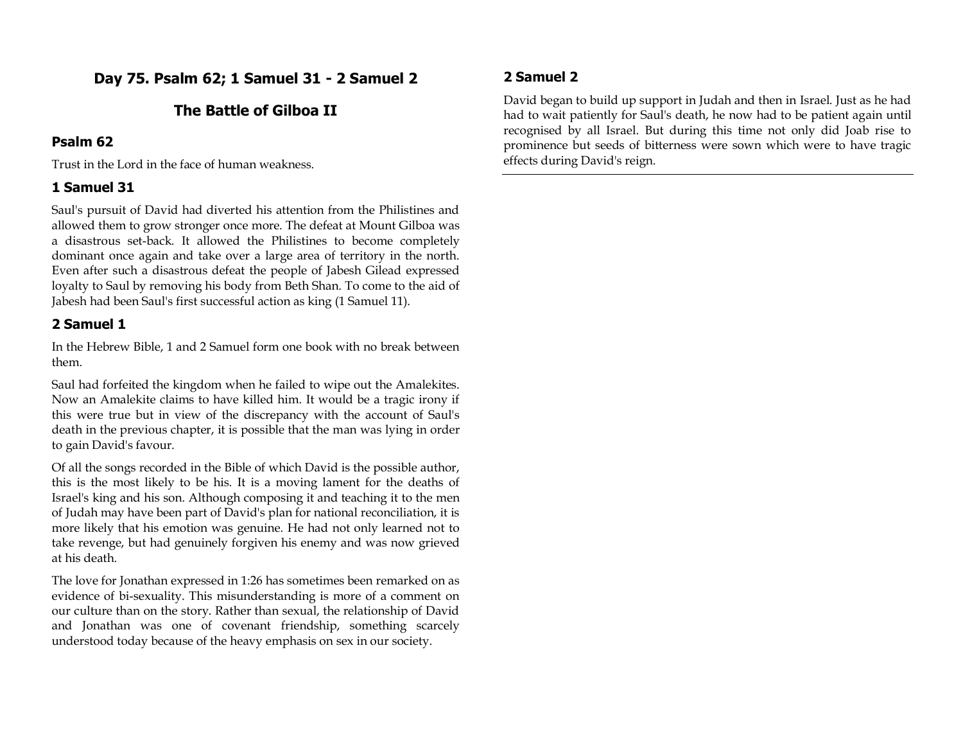**Day 75. Psalm 62; 1 Samuel 31 - 2 Samuel 2**

# **The Battle of Gilboa II**

### **Psalm 62**

Trust in the Lord in the face of human weakness.

### **1 Samuel 31**

Saul's pursuit of David had diverted his attention from the Philistines and allowed them to grow stronger once more. The defeat at Mount Gilboa was a disastrous set-back. It allowed the Philistines to become completely dominant once again and take over a large area of territory in the north. Even after such a disastrous defeat the people of Jabesh Gilead expressed loyalty to Saul by removing his body from Beth Shan. To come to the aid of Jabesh had been Saul's first successful action as king (1 Samuel 11).

### **2 Samuel 1**

In the Hebrew Bible, 1 and 2 Samuel form one book with no break between them.

Saul had forfeited the kingdom when he failed to wipe out the Amalekites. Now an Amalekite claims to have killed him. It would be a tragic irony if this were true but in view of the discrepancy with the account of Saul's death in the previous chapter, it is possible that the man was lying in order to gain David's favour.

Of all the songs recorded in the Bible of which David is the possible author, this is the most likely to be his. It is a moving lament for the deaths of Israel's king and his son. Although composing it and teaching it to the men of Judah may have been part of David's plan for national reconciliation, it is more likely that his emotion was genuine. He had not only learned not to take revenge, but had genuinely forgiven his enemy and was now grieved at his death.

The love for Jonathan expressed in 1:26 has sometimes been remarked on as evidence of bi-sexuality. This misunderstanding is more of a comment on our culture than on the story. Rather than sexual, the relationship of David and Jonathan was one of covenant friendship, something scarcely understood today because of the heavy emphasis on sex in our society.

## **2 Samuel 2**

David began to build up support in Judah and then in Israel. Just as he had had to wait patiently for Saul's death, he now had to be patient again until recognised by all Israel. But during this time not only did Joab rise to prominence but seeds of bitterness were sown which were to have tragic effects during David's reign.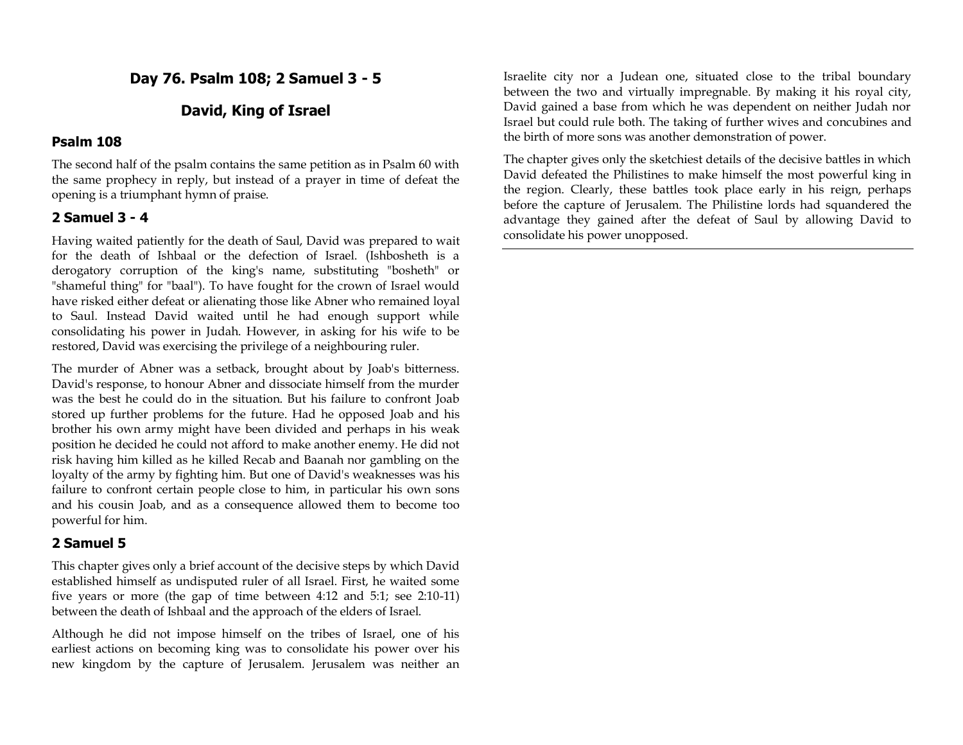**Day 76. Psalm 108; 2 Samuel 3 - 5**

# **David, King of Israel**

#### **Psalm 108**

The second half of the psalm contains the same petition as in Psalm 60 with the same prophecy in reply, but instead of a prayer in time of defeat the opening is a triumphant hymn of praise.

#### **2 Samuel 3 - 4**

Having waited patiently for the death of Saul, David was prepared to wait for the death of Ishbaal or the defection of Israel. (Ishbosheth is a derogatory corruption of the king's name, substituting "bosheth" or "shameful thing" for "baal"). To have fought for the crown of Israel would have risked either defeat or alienating those like Abner who remained loyal to Saul. Instead David waited until he had enough support while consolidating his power in Judah. However, in asking for his wife to be restored, David was exercising the privilege of a neighbouring ruler.

The murder of Abner was a setback, brought about by Joab's bitterness. David's response, to honour Abner and dissociate himself from the murder was the best he could do in the situation. But his failure to confront Joab stored up further problems for the future. Had he opposed Joab and his brother his own army might have been divided and perhaps in his weak position he decided he could not afford to make another enemy. He did not risk having him killed as he killed Recab and Baanah nor gambling on the loyalty of the army by fighting him. But one of David's weaknesses was his failure to confront certain people close to him, in particular his own sons and his cousin Joab, and as a consequence allowed them to become too powerful for him.

### **2 Samuel 5**

This chapter gives only a brief account of the decisive steps by which David established himself as undisputed ruler of all Israel. First, he waited some five years or more (the gap of time between 4:12 and 5:1; see 2:10-11) between the death of Ishbaal and the approach of the elders of Israel.

Although he did not impose himself on the tribes of Israel, one of his earliest actions on becoming king was to consolidate his power over his new kingdom by the capture of Jerusalem. Jerusalem was neither an

Israelite city nor a Judean one, situated close to the tribal boundary between the two and virtually impregnable. By making it his royal city, David gained a base from which he was dependent on neither Judah nor Israel but could rule both. The taking of further wives and concubines and the birth of more sons was another demonstration of power.

The chapter gives only the sketchiest details of the decisive battles in which David defeated the Philistines to make himself the most powerful king in the region. Clearly, these battles took place early in his reign, perhaps before the capture of Jerusalem. The Philistine lords had squandered the advantage they gained after the defeat of Saul by allowing David to consolidate his power unopposed.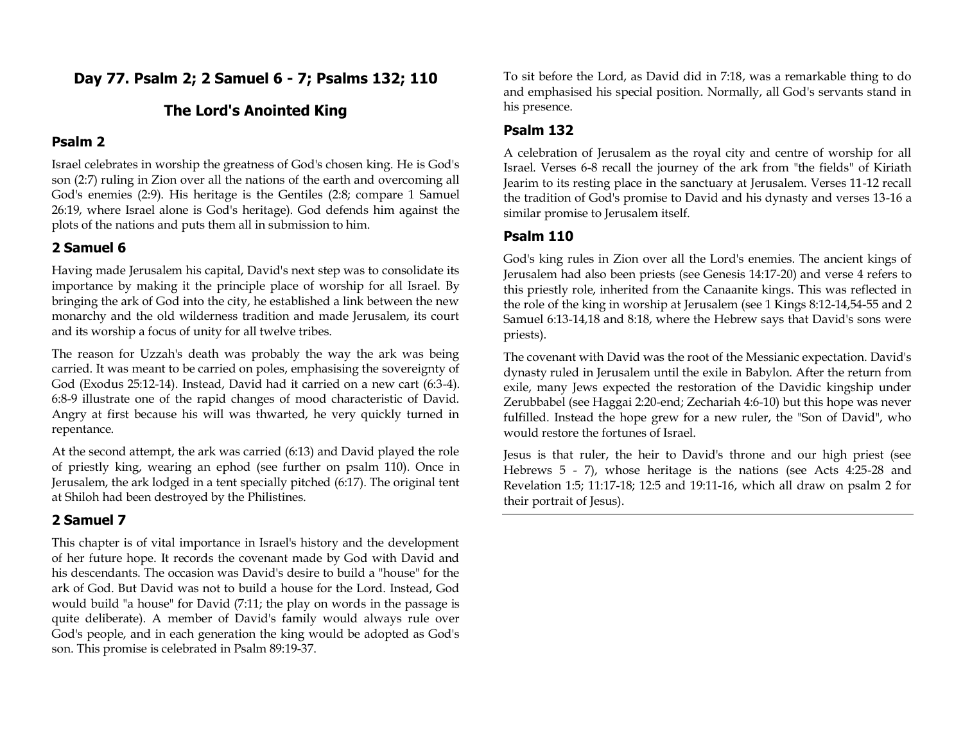**Day 77. Psalm 2; 2 Samuel 6 - 7; Psalms 132; 110**

# **The Lord's Anointed King**

### **Psalm 2**

Israel celebrates in worship the greatness of God's chosen king. He is God's son (2:7) ruling in Zion over all the nations of the earth and overcoming all God's enemies (2:9). His heritage is the Gentiles (2:8; compare 1 Samuel 26:19, where Israel alone is God's heritage). God defends him against the plots of the nations and puts them all in submission to him.

### **2 Samuel 6**

Having made Jerusalem his capital, David's next step was to consolidate its importance by making it the principle place of worship for all Israel. By bringing the ark of God into the city, he established a link between the new monarchy and the old wilderness tradition and made Jerusalem, its court and its worship a focus of unity for all twelve tribes.

The reason for Uzzah's death was probably the way the ark was being carried. It was meant to be carried on poles, emphasising the sovereignty of God (Exodus 25:12-14). Instead, David had it carried on a new cart (6:3-4). 6:8-9 illustrate one of the rapid changes of mood characteristic of David. Angry at first because his will was thwarted, he very quickly turned in repentance.

At the second attempt, the ark was carried (6:13) and David played the role of priestly king, wearing an ephod (see further on psalm 110). Once in Jerusalem, the ark lodged in a tent specially pitched (6:17). The original tent at Shiloh had been destroyed by the Philistines.

### **2 Samuel 7**

This chapter is of vital importance in Israel's history and the development of her future hope. It records the covenant made by God with David and his descendants. The occasion was David's desire to build a "house" for the ark of God. But David was not to build a house for the Lord. Instead, God would build "a house" for David (7:11; the play on words in the passage is quite deliberate). A member of David's family would always rule over God's people, and in each generation the king would be adopted as God's son. This promise is celebrated in Psalm 89:19-37.

To sit before the Lord, as David did in 7:18, was a remarkable thing to do and emphasised his special position. Normally, all God's servants stand in his presence.

## **Psalm 132**

A celebration of Jerusalem as the royal city and centre of worship for all Israel. Verses 6-8 recall the journey of the ark from "the fields" of Kiriath Jearim to its resting place in the sanctuary at Jerusalem. Verses 11-12 recall the tradition of God's promise to David and his dynasty and verses 13-16 a similar promise to Jerusalem itself.

# **Psalm 110**

God's king rules in Zion over all the Lord's enemies. The ancient kings of Jerusalem had also been priests (see Genesis 14:17-20) and verse 4 refers to this priestly role, inherited from the Canaanite kings. This was reflected in the role of the king in worship at Jerusalem (see 1 Kings 8:12-14,54-55 and 2 Samuel 6:13-14,18 and 8:18, where the Hebrew says that David's sons were priests).

The covenant with David was the root of the Messianic expectation. David's dynasty ruled in Jerusalem until the exile in Babylon. After the return from exile, many Jews expected the restoration of the Davidic kingship under Zerubbabel (see Haggai 2:20-end; Zechariah 4:6-10) but this hope was never fulfilled. Instead the hope grew for a new ruler, the "Son of David", who would restore the fortunes of Israel.

Jesus is that ruler, the heir to David's throne and our high priest (see Hebrews 5 - 7), whose heritage is the nations (see Acts 4:25-28 and Revelation 1:5; 11:17-18; 12:5 and 19:11-16, which all draw on psalm 2 for their portrait of Jesus).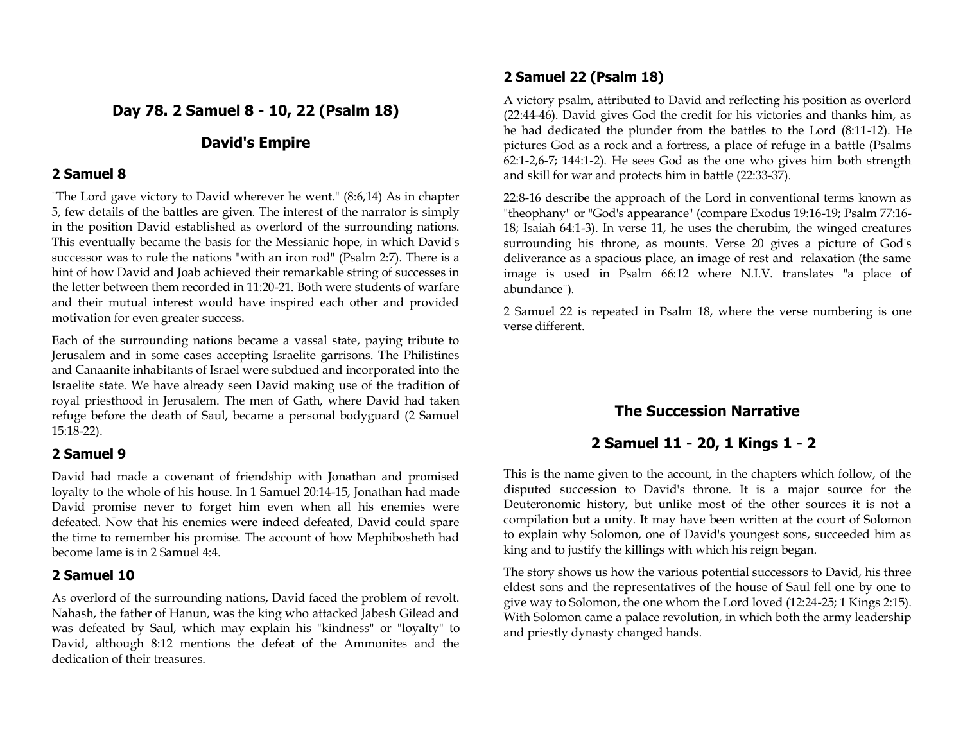# **Day 78. 2 Samuel 8 - 10, 22 (Psalm 18)**

## **David's Empire**

## **2 Samuel 8**

"The Lord gave victory to David wherever he went." (8:6,14) As in chapter 5, few details of the battles are given. The interest of the narrator is simply in the position David established as overlord of the surrounding nations. This eventually became the basis for the Messianic hope, in which David's successor was to rule the nations "with an iron rod" (Psalm 2:7). There is a hint of how David and Joab achieved their remarkable string of successes in the letter between them recorded in 11:20-21. Both were students of warfare and their mutual interest would have inspired each other and provided motivation for even greater success.

Each of the surrounding nations became a vassal state, paying tribute to Jerusalem and in some cases accepting Israelite garrisons. The Philistines and Canaanite inhabitants of Israel were subdued and incorporated into the Israelite state. We have already seen David making use of the tradition of royal priesthood in Jerusalem. The men of Gath, where David had taken refuge before the death of Saul, became a personal bodyguard (2 Samuel 15:18-22).

## **2 Samuel 9**

David had made a covenant of friendship with Jonathan and promised loyalty to the whole of his house. In 1 Samuel 20:14-15, Jonathan had made David promise never to forget him even when all his enemies were defeated. Now that his enemies were indeed defeated, David could spare the time to remember his promise. The account of how Mephibosheth had become lame is in 2 Samuel 4:4.

## **2 Samuel 10**

As overlord of the surrounding nations, David faced the problem of revolt. Nahash, the father of Hanun, was the king who attacked Jabesh Gilead and was defeated by Saul, which may explain his "kindness" or "loyalty" to David, although 8:12 mentions the defeat of the Ammonites and the dedication of their treasures.

## **2 Samuel 22 (Psalm 18)**

A victory psalm, attributed to David and reflecting his position as overlord (22:44-46). David gives God the credit for his victories and thanks him, as he had dedicated the plunder from the battles to the Lord (8:11-12). He pictures God as a rock and a fortress, a place of refuge in a battle (Psalms 62:1-2,6-7; 144:1-2). He sees God as the one who gives him both strength and skill for war and protects him in battle (22:33-37).

22:8-16 describe the approach of the Lord in conventional terms known as "theophany" or "God's appearance" (compare Exodus 19:16-19; Psalm 77:16- 18; Isaiah 64:1-3). In verse 11, he uses the cherubim, the winged creatures surrounding his throne, as mounts. Verse 20 gives a picture of God's deliverance as a spacious place, an image of rest and relaxation (the same image is used in Psalm 66:12 where N.I.V. translates "a place of abundance").

2 Samuel 22 is repeated in Psalm 18, where the verse numbering is one verse different.

# **The Succession Narrative**

# **2 Samuel 11 - 20, 1 Kings 1 - 2**

This is the name given to the account, in the chapters which follow, of the disputed succession to David's throne. It is a major source for the Deuteronomic history, but unlike most of the other sources it is not a compilation but a unity. It may have been written at the court of Solomon to explain why Solomon, one of David's youngest sons, succeeded him as king and to justify the killings with which his reign began.

The story shows us how the various potential successors to David, his three eldest sons and the representatives of the house of Saul fell one by one to give way to Solomon, the one whom the Lord loved (12:24-25; 1 Kings 2:15). With Solomon came a palace revolution, in which both the army leadership and priestly dynasty changed hands.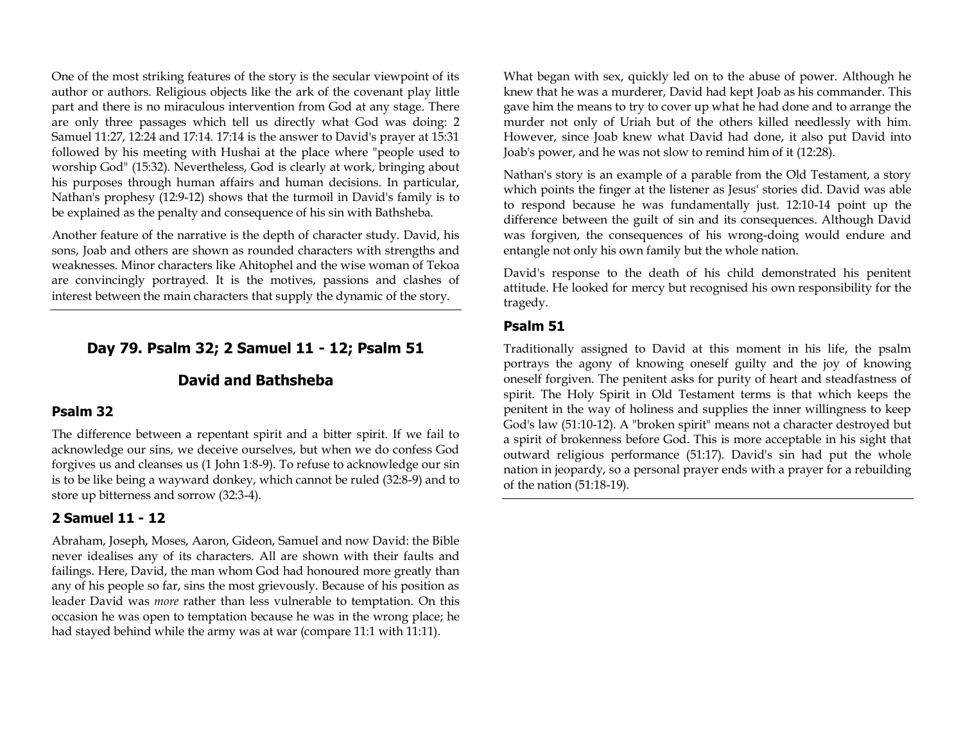One of the most striking features of the story is the secular viewpoint of its author or authors. Religious objects like the ark of the covenant play little part and there is no miraculous intervention from God at any stage. There are only three passages which tell us directly what God was doing: 2 Samuel 11:27, 12:24 and 17:14. 17:14 is the answer to David's prayer at 15:31 followed by his meeting with Hushai at the place where "people used to worship God" (15:32). Nevertheless, God is clearly at work, bringing about his purposes through human affairs and human decisions. In particular, Nathan's prophesy (12:9-12) shows that the turmoil in David's family is to be explained as the penalty and consequence of his sin with Bathsheba.

Another feature of the narrative is the depth of character study. David, his sons, Joab and others are shown as rounded characters with strengths and weaknesses. Minor characters like Ahitophel and the wise woman of Tekoa are convincingly portrayed. It is the motives, passions and clashes of interest between the main characters that supply the dynamic of the story.

## **Day 79. Psalm 32; 2 Samuel 11 - 12; Psalm 51**

## **David and Bathsheba**

#### **Psalm 32**

The difference between a repentant spirit and a bitter spirit. If we fail to acknowledge our sins, we deceive ourselves, but when we do confess God forgives us and cleanses us (1 John 1:8-9). To refuse to acknowledge our sin is to be like being a wayward donkey, which cannot be ruled (32:8-9) and to store up bitterness and sorrow (32:3-4).

#### **2 Samuel 11 - 12**

Abraham, Joseph, Moses, Aaron, Gideon, Samuel and now David: the Bible never idealises any of its characters. All are shown with their faults and failings. Here, David, the man whom God had honoured more greatly than any of his people so far, sins the most grievously. Because of his position as leader David was *more* rather than less vulnerable to temptation. On this occasion he was open to temptation because he was in the wrong place; he had stayed behind while the army was at war (compare 11:1 with 11:11).

What began with sex, quickly led on to the abuse of power. Although he knew that he was a murderer, David had kept Joab as his commander. This gave him the means to try to cover up what he had done and to arrange the murder not only of Uriah but of the others killed needlessly with him. However, since Joab knew what David had done, it also put David into Joab's power, and he was not slow to remind him of it (12:28).

Nathan's story is an example of a parable from the Old Testament, a story which points the finger at the listener as Jesus' stories did. David was able to respond because he was fundamentally just. 12:10-14 point up the difference between the guilt of sin and its consequences. Although David was forgiven, the consequences of his wrong-doing would endure and entangle not only his own family but the whole nation.

David's response to the death of his child demonstrated his penitent attitude. He looked for mercy but recognised his own responsibility for the tragedy.

#### **Psalm 51**

Traditionally assigned to David at this moment in his life, the psalm portrays the agony of knowing oneself guilty and the joy of knowing oneself forgiven. The penitent asks for purity of heart and steadfastness of spirit. The Holy Spirit in Old Testament terms is that which keeps the penitent in the way of holiness and supplies the inner willingness to keep God's law (51:10-12). A "broken spirit" means not a character destroyed but a spirit of brokenness before God. This is more acceptable in his sight that outward religious performance (51:17). David's sin had put the whole nation in jeopardy, so a personal prayer ends with a prayer for a rebuilding of the nation (51:18-19).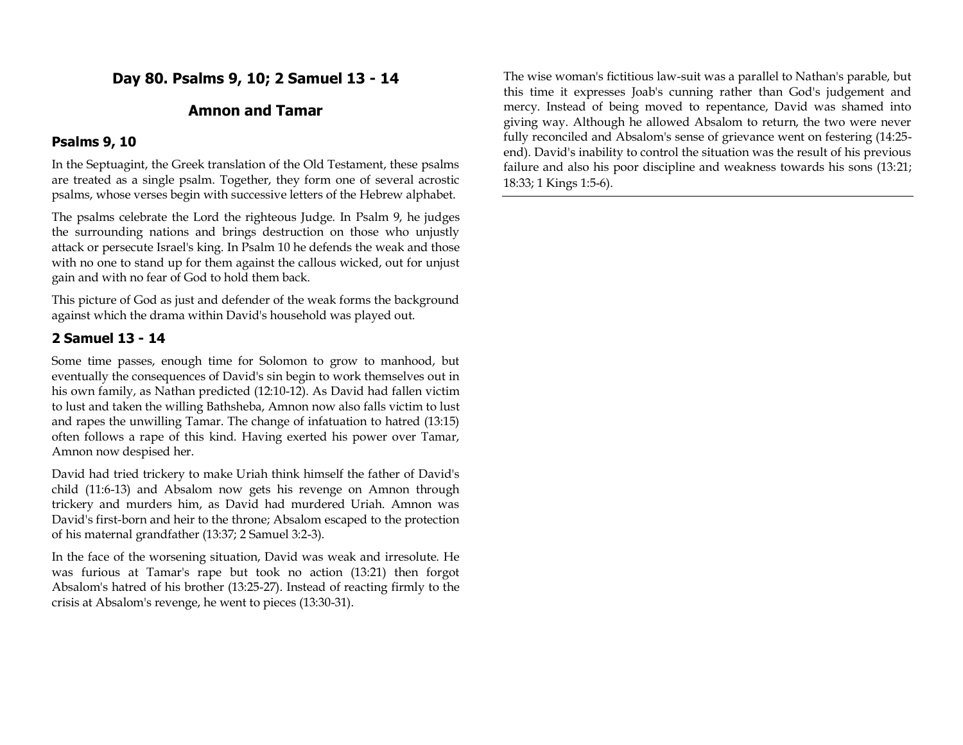**Day 80. Psalms 9, 10; 2 Samuel 13 - 14**

# **Amnon and Tamar**

#### **Psalms 9, 10**

In the Septuagint, the Greek translation of the Old Testament, these psalms are treated as a single psalm. Together, they form one of several acrostic psalms, whose verses begin with successive letters of the Hebrew alphabet.

The psalms celebrate the Lord the righteous Judge. In Psalm 9, he judges the surrounding nations and brings destruction on those who unjustly attack or persecute Israel's king. In Psalm 10 he defends the weak and those with no one to stand up for them against the callous wicked, out for unjust gain and with no fear of God to hold them back.

This picture of God as just and defender of the weak forms the background against which the drama within David's household was played out.

### **2 Samuel 13 - 14**

Some time passes, enough time for Solomon to grow to manhood, but eventually the consequences of David's sin begin to work themselves out in his own family, as Nathan predicted (12:10-12). As David had fallen victim to lust and taken the willing Bathsheba, Amnon now also falls victim to lust and rapes the unwilling Tamar. The change of infatuation to hatred (13:15) often follows a rape of this kind. Having exerted his power over Tamar, Amnon now despised her.

David had tried trickery to make Uriah think himself the father of David's child (11:6-13) and Absalom now gets his revenge on Amnon through trickery and murders him, as David had murdered Uriah. Amnon was David's first-born and heir to the throne; Absalom escaped to the protection of his maternal grandfather (13:37; 2 Samuel 3:2-3).

In the face of the worsening situation, David was weak and irresolute. He was furious at Tamar's rape but took no action (13:21) then forgot Absalom's hatred of his brother (13:25-27). Instead of reacting firmly to the crisis at Absalom's revenge, he went to pieces (13:30-31).

The wise woman's fictitious law-suit was a parallel to Nathan's parable, but this time it expresses Joab's cunning rather than God's judgement and mercy. Instead of being moved to repentance, David was shamed into giving way. Although he allowed Absalom to return, the two were never fully reconciled and Absalom's sense of grievance went on festering (14:25 end). David's inability to control the situation was the result of his previous failure and also his poor discipline and weakness towards his sons (13:21; 18:33; 1 Kings 1:5-6).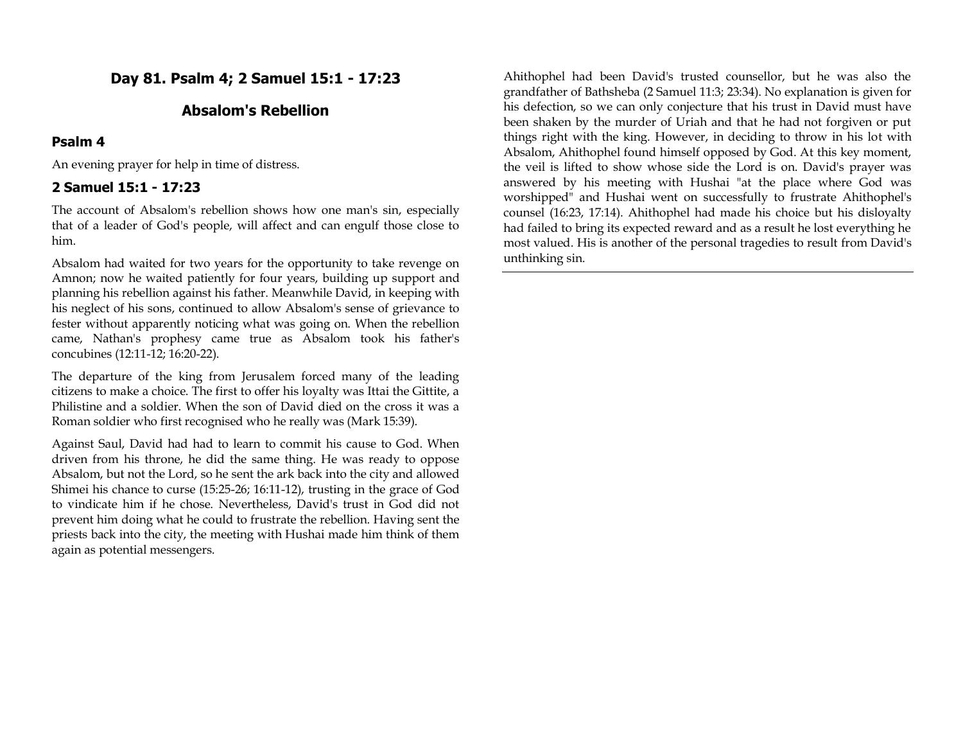# **Day 81. Psalm 4; 2 Samuel 15:1 - 17:23**

## **Absalom's Rebellion**

### **Psalm 4**

An evening prayer for help in time of distress.

## **2 Samuel 15:1 - 17:23**

The account of Absalom's rebellion shows how one man's sin, especially that of a leader of God's people, will affect and can engulf those close to him.

Absalom had waited for two years for the opportunity to take revenge on Amnon; now he waited patiently for four years, building up support and planning his rebellion against his father. Meanwhile David, in keeping with his neglect of his sons, continued to allow Absalom's sense of grievance to fester without apparently noticing what was going on. When the rebellion came, Nathan's prophesy came true as Absalom took his father's concubines (12:11-12; 16:20-22).

The departure of the king from Jerusalem forced many of the leading citizens to make a choice. The first to offer his loyalty was Ittai the Gittite, a Philistine and a soldier. When the son of David died on the cross it was a Roman soldier who first recognised who he really was (Mark 15:39).

Against Saul, David had had to learn to commit his cause to God. When driven from his throne, he did the same thing. He was ready to oppose Absalom, but not the Lord, so he sent the ark back into the city and allowed Shimei his chance to curse (15:25-26; 16:11-12), trusting in the grace of God to vindicate him if he chose. Nevertheless, David's trust in God did not prevent him doing what he could to frustrate the rebellion. Having sent the priests back into the city, the meeting with Hushai made him think of them again as potential messengers.

Ahithophel had been David's trusted counsellor, but he was also the grandfather of Bathsheba (2 Samuel 11:3; 23:34). No explanation is given for his defection, so we can only conjecture that his trust in David must have been shaken by the murder of Uriah and that he had not forgiven or put things right with the king. However, in deciding to throw in his lot with Absalom, Ahithophel found himself opposed by God. At this key moment, the veil is lifted to show whose side the Lord is on. David's prayer was answered by his meeting with Hushai "at the place where God was worshipped" and Hushai went on successfully to frustrate Ahithophel's counsel (16:23, 17:14). Ahithophel had made his choice but his disloyalty had failed to bring its expected reward and as a result he lost everything he most valued. His is another of the personal tragedies to result from David's unthinking sin.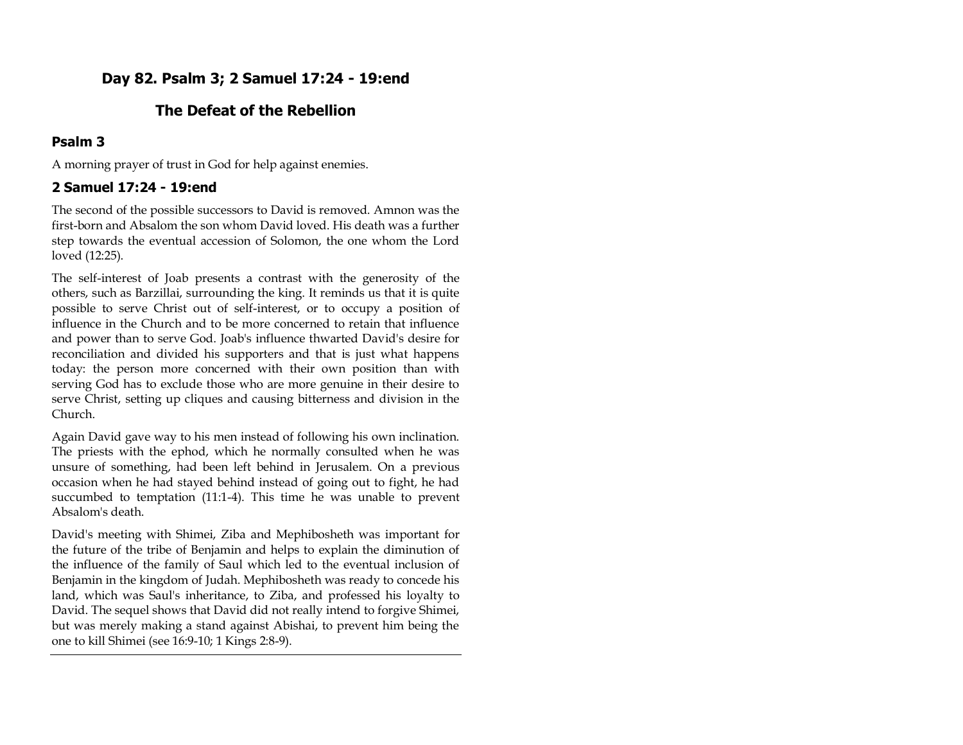# **Day 82. Psalm 3; 2 Samuel 17:24 - 19:end**

# **The Defeat of the Rebellion**

# **Psalm 3**

A morning prayer of trust in God for help against enemies.

# **2 Samuel 17:24 - 19:end**

The second of the possible successors to David is removed. Amnon was the first-born and Absalom the son whom David loved. His death was a further step towards the eventual accession of Solomon, the one whom the Lord loved (12:25).

The self-interest of Joab presents a contrast with the generosity of the others, such as Barzillai, surrounding the king. It reminds us that it is quite possible to serve Christ out of self-interest, or to occupy a position of influence in the Church and to be more concerned to retain that influence and power than to serve God. Joab's influence thwarted David's desire for reconciliation and divided his supporters and that is just what happens today: the person more concerned with their own position than with serving God has to exclude those who are more genuine in their desire to serve Christ, setting up cliques and causing bitterness and division in the Church.

Again David gave way to his men instead of following his own inclination. The priests with the ephod, which he normally consulted when he was unsure of something, had been left behind in Jerusalem. On a previous occasion when he had stayed behind instead of going out to fight, he had succumbed to temptation (11:1-4). This time he was unable to prevent Absalom's death.

David's meeting with Shimei, Ziba and Mephibosheth was important for the future of the tribe of Benjamin and helps to explain the diminution of the influence of the family of Saul which led to the eventual inclusion of Benjamin in the kingdom of Judah. Mephibosheth was ready to concede his land, which was Saul's inheritance, to Ziba, and professed his loyalty to David. The sequel shows that David did not really intend to forgive Shimei, but was merely making a stand against Abishai, to prevent him being the one to kill Shimei (see 16:9-10; 1 Kings 2:8-9).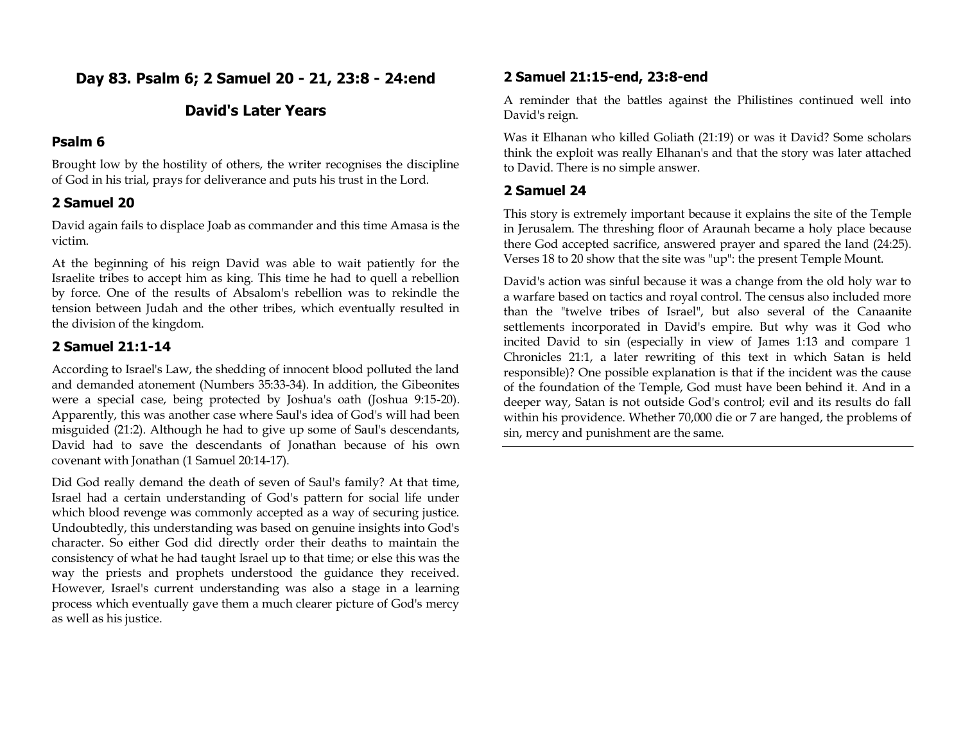**Day 83. Psalm 6; 2 Samuel 20 - 21, 23:8 - 24:end**

# **David's Later Years**

### **Psalm 6**

Brought low by the hostility of others, the writer recognises the discipline of God in his trial, prays for deliverance and puts his trust in the Lord.

# **2 Samuel 20**

David again fails to displace Joab as commander and this time Amasa is the victim.

At the beginning of his reign David was able to wait patiently for the Israelite tribes to accept him as king. This time he had to quell a rebellion by force. One of the results of Absalom's rebellion was to rekindle the tension between Judah and the other tribes, which eventually resulted in the division of the kingdom.

# **2 Samuel 21:1-14**

According to Israel's Law, the shedding of innocent blood polluted the land and demanded atonement (Numbers 35:33-34). In addition, the Gibeonites were a special case, being protected by Joshua's oath (Joshua 9:15-20). Apparently, this was another case where Saul's idea of God's will had been misguided (21:2). Although he had to give up some of Saul's descendants, David had to save the descendants of Jonathan because of his own covenant with Jonathan (1 Samuel 20:14-17).

Did God really demand the death of seven of Saul's family? At that time, Israel had a certain understanding of God's pattern for social life under which blood revenge was commonly accepted as a way of securing justice. Undoubtedly, this understanding was based on genuine insights into God's character. So either God did directly order their deaths to maintain the consistency of what he had taught Israel up to that time; or else this was the way the priests and prophets understood the guidance they received. However, Israel's current understanding was also a stage in a learning process which eventually gave them a much clearer picture of God's mercy as well as his justice.

## **2 Samuel 21:15-end, 23:8-end**

A reminder that the battles against the Philistines continued well into David's reign.

Was it Elhanan who killed Goliath (21:19) or was it David? Some scholars think the exploit was really Elhanan's and that the story was later attached to David. There is no simple answer.

# **2 Samuel 24**

This story is extremely important because it explains the site of the Temple in Jerusalem. The threshing floor of Araunah became a holy place because there God accepted sacrifice, answered prayer and spared the land (24:25). Verses 18 to 20 show that the site was "up": the present Temple Mount.

David's action was sinful because it was a change from the old holy war to a warfare based on tactics and royal control. The census also included more than the "twelve tribes of Israel", but also several of the Canaanite settlements incorporated in David's empire. But why was it God who incited David to sin (especially in view of James 1:13 and compare 1 Chronicles 21:1, a later rewriting of this text in which Satan is held responsible)? One possible explanation is that if the incident was the cause of the foundation of the Temple, God must have been behind it. And in a deeper way, Satan is not outside God's control; evil and its results do fall within his providence. Whether 70,000 die or 7 are hanged, the problems of sin, mercy and punishment are the same.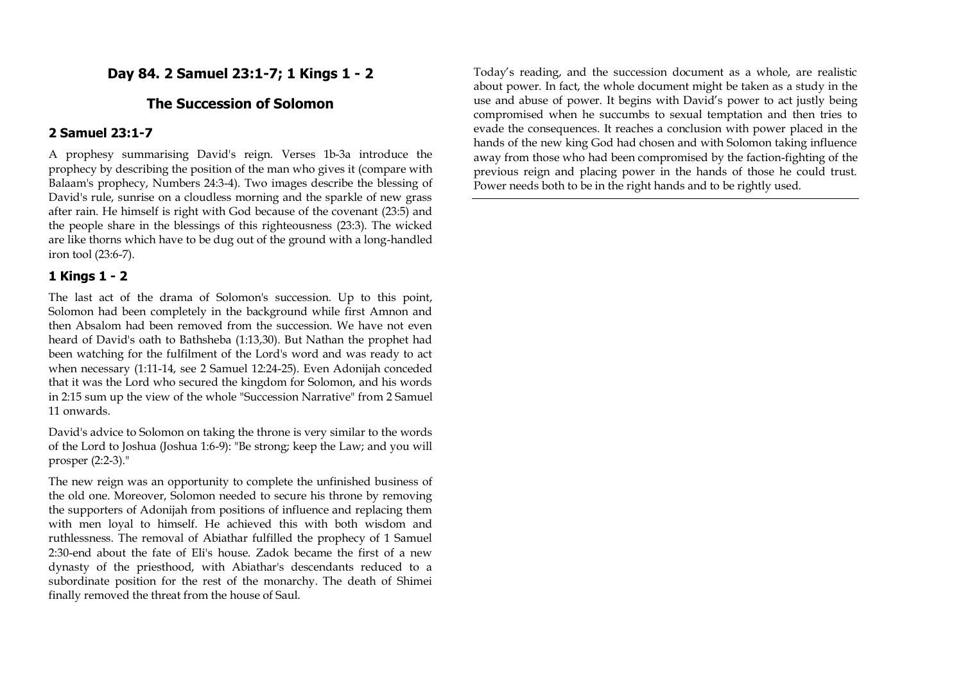# **Day 84. 2 Samuel 23:1-7; 1 Kings 1 - 2**

## **The Succession of Solomon**

### **2 Samuel 23:1-7**

A prophesy summarising David's reign. Verses 1b-3a introduce the prophecy by describing the position of the man who gives it (compare with Balaam's prophecy, Numbers 24:3-4). Two images describe the blessing of David's rule, sunrise on a cloudless morning and the sparkle of new grass after rain. He himself is right with God because of the covenant (23:5) and the people share in the blessings of this righteousness (23:3). The wicked are like thorns which have to be dug out of the ground with a long-handled iron tool (23:6-7).

### **1 Kings 1 - 2**

The last act of the drama of Solomon's succession. Up to this point, Solomon had been completely in the background while first Amnon and then Absalom had been removed from the succession. We have not even heard of David's oath to Bathsheba (1:13,30). But Nathan the prophet had been watching for the fulfilment of the Lord's word and was ready to act when necessary (1:11-14, see 2 Samuel 12:24-25). Even Adonijah conceded that it was the Lord who secured the kingdom for Solomon, and his words in 2:15 sum up the view of the whole "Succession Narrative" from 2 Samuel 11 onwards.

David's advice to Solomon on taking the throne is very similar to the words of the Lord to Joshua (Joshua 1:6-9): "Be strong; keep the Law; and you will prosper (2:2-3)."

The new reign was an opportunity to complete the unfinished business of the old one. Moreover, Solomon needed to secure his throne by removing the supporters of Adonijah from positions of influence and replacing them with men loyal to himself. He achieved this with both wisdom and ruthlessness. The removal of Abiathar fulfilled the prophecy of 1 Samuel 2:30-end about the fate of Eli's house. Zadok became the first of a new dynasty of the priesthood, with Abiathar's descendants reduced to a subordinate position for the rest of the monarchy. The death of Shimei finally removed the threat from the house of Saul.

Today's reading, and the succession document as a whole, are realistic about power. In fact, the whole document might be taken as a study in the use and abuse of power. It begins with David's power to act justly being compromised when he succumbs to sexual temptation and then tries to evade the consequences. It reaches a conclusion with power placed in the hands of the new king God had chosen and with Solomon taking influence away from those who had been compromised by the faction-fighting of the previous reign and placing power in the hands of those he could trust. Power needs both to be in the right hands and to be rightly used.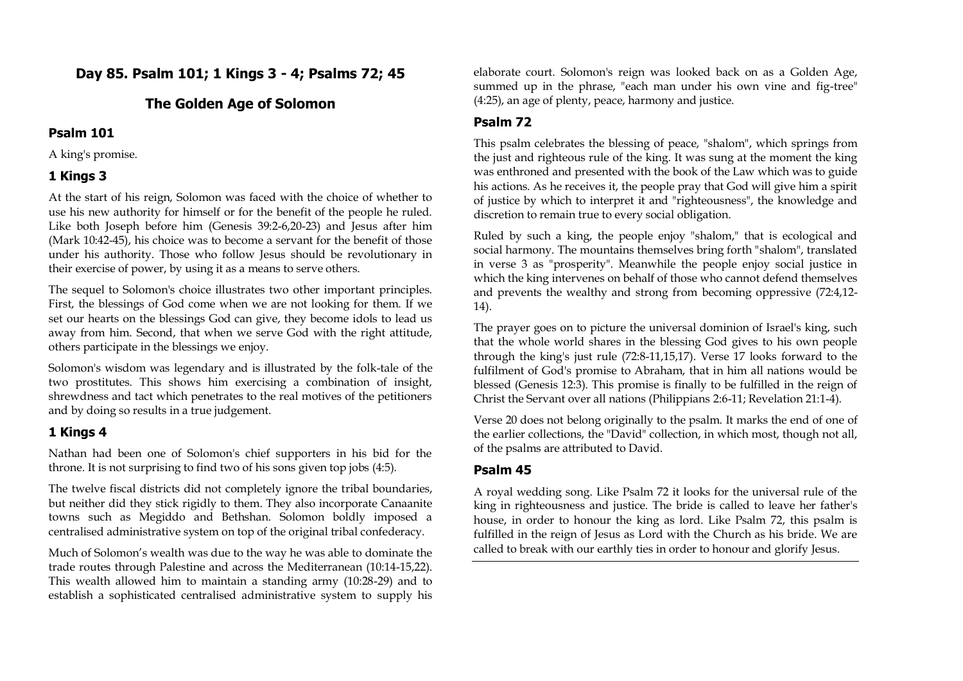# **Day 85. Psalm 101; 1 Kings 3 - 4; Psalms 72; 45**

## **The Golden Age of Solomon**

### **Psalm 101**

A king's promise.

## **1 Kings 3**

At the start of his reign, Solomon was faced with the choice of whether to use his new authority for himself or for the benefit of the people he ruled. Like both Joseph before him (Genesis 39:2-6,20-23) and Jesus after him (Mark 10:42-45), his choice was to become a servant for the benefit of those under his authority. Those who follow Jesus should be revolutionary in their exercise of power, by using it as a means to serve others.

The sequel to Solomon's choice illustrates two other important principles. First, the blessings of God come when we are not looking for them. If we set our hearts on the blessings God can give, they become idols to lead us away from him. Second, that when we serve God with the right attitude, others participate in the blessings we enjoy.

Solomon's wisdom was legendary and is illustrated by the folk-tale of the two prostitutes. This shows him exercising a combination of insight, shrewdness and tact which penetrates to the real motives of the petitioners and by doing so results in a true judgement.

# **1 Kings 4**

Nathan had been one of Solomon's chief supporters in his bid for the throne. It is not surprising to find two of his sons given top jobs (4:5).

The twelve fiscal districts did not completely ignore the tribal boundaries, but neither did they stick rigidly to them. They also incorporate Canaanite towns such as Megiddo and Bethshan. Solomon boldly imposed a centralised administrative system on top of the original tribal confederacy.

Much of Solomon's wealth was due to the way he was able to dominate the trade routes through Palestine and across the Mediterranean (10:14-15,22). This wealth allowed him to maintain a standing army (10:28-29) and to establish a sophisticated centralised administrative system to supply his

elaborate court. Solomon's reign was looked back on as a Golden Age, summed up in the phrase, "each man under his own vine and fig-tree" (4:25), an age of plenty, peace, harmony and justice.

# **Psalm 72**

This psalm celebrates the blessing of peace, "shalom", which springs from the just and righteous rule of the king. It was sung at the moment the king was enthroned and presented with the book of the Law which was to guide his actions. As he receives it, the people pray that God will give him a spirit of justice by which to interpret it and "righteousness", the knowledge and discretion to remain true to every social obligation.

Ruled by such a king, the people enjoy "shalom," that is ecological and social harmony. The mountains themselves bring forth "shalom", translated in verse 3 as "prosperity". Meanwhile the people enjoy social justice in which the king intervenes on behalf of those who cannot defend themselves and prevents the wealthy and strong from becoming oppressive (72:4,12- 14).

The prayer goes on to picture the universal dominion of Israel's king, such that the whole world shares in the blessing God gives to his own people through the king's just rule (72:8-11,15,17). Verse 17 looks forward to the fulfilment of God's promise to Abraham, that in him all nations would be blessed (Genesis 12:3). This promise is finally to be fulfilled in the reign of Christ the Servant over all nations (Philippians 2:6-11; Revelation 21:1-4).

Verse 20 does not belong originally to the psalm. It marks the end of one of the earlier collections, the "David" collection, in which most, though not all, of the psalms are attributed to David.

### **Psalm 45**

A royal wedding song. Like Psalm 72 it looks for the universal rule of the king in righteousness and justice. The bride is called to leave her father's house, in order to honour the king as lord. Like Psalm 72, this psalm is fulfilled in the reign of Jesus as Lord with the Church as his bride. We are called to break with our earthly ties in order to honour and glorify Jesus.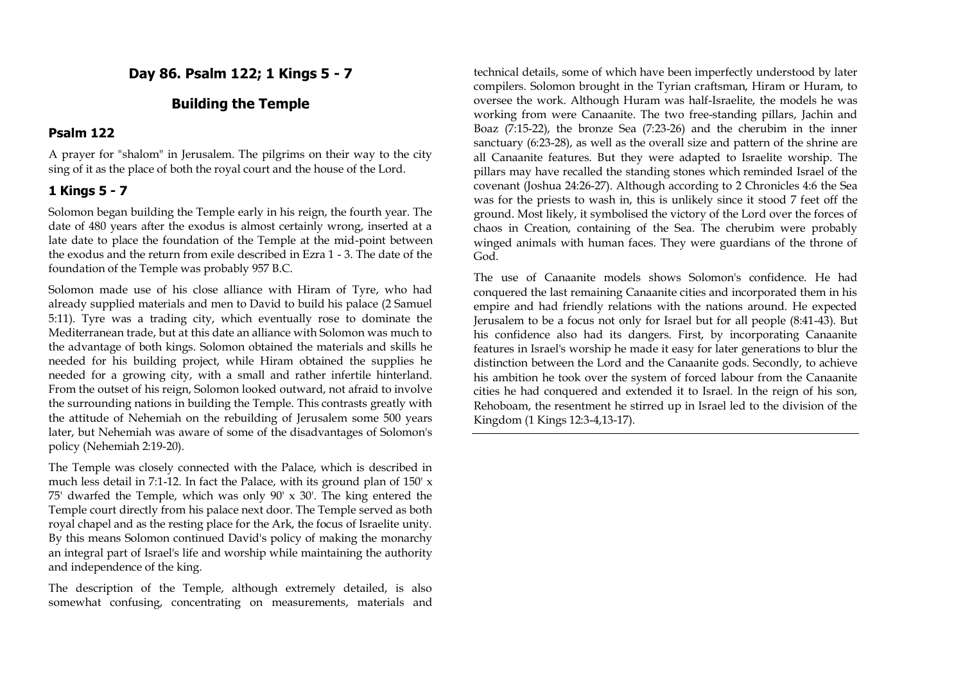**Day 86. Psalm 122; 1 Kings 5 - 7**

# **Building the Temple**

### **Psalm 122**

A prayer for "shalom" in Jerusalem. The pilgrims on their way to the city sing of it as the place of both the royal court and the house of the Lord.

## **1 Kings 5 - 7**

Solomon began building the Temple early in his reign, the fourth year. The date of 480 years after the exodus is almost certainly wrong, inserted at a late date to place the foundation of the Temple at the mid-point between the exodus and the return from exile described in Ezra 1 - 3. The date of the foundation of the Temple was probably 957 B.C.

Solomon made use of his close alliance with Hiram of Tyre, who had already supplied materials and men to David to build his palace (2 Samuel 5:11). Tyre was a trading city, which eventually rose to dominate the Mediterranean trade, but at this date an alliance with Solomon was much to the advantage of both kings. Solomon obtained the materials and skills he needed for his building project, while Hiram obtained the supplies he needed for a growing city, with a small and rather infertile hinterland. From the outset of his reign, Solomon looked outward, not afraid to involve the surrounding nations in building the Temple. This contrasts greatly with the attitude of Nehemiah on the rebuilding of Jerusalem some 500 years later, but Nehemiah was aware of some of the disadvantages of Solomon's policy (Nehemiah 2:19-20).

The Temple was closely connected with the Palace, which is described in much less detail in 7:1-12. In fact the Palace, with its ground plan of 150' x 75' dwarfed the Temple, which was only  $90' \times 30'$ . The king entered the Temple court directly from his palace next door. The Temple served as both royal chapel and as the resting place for the Ark, the focus of Israelite unity. By this means Solomon continued David's policy of making the monarchy an integral part of Israel's life and worship while maintaining the authority and independence of the king.

The description of the Temple, although extremely detailed, is also somewhat confusing, concentrating on measurements, materials and

technical details, some of which have been imperfectly understood by later compilers. Solomon brought in the Tyrian craftsman, Hiram or Huram, to oversee the work. Although Huram was half-Israelite, the models he was working from were Canaanite. The two free-standing pillars, Jachin and Boaz (7:15-22), the bronze Sea (7:23-26) and the cherubim in the inner sanctuary (6:23-28), as well as the overall size and pattern of the shrine are all Canaanite features. But they were adapted to Israelite worship. The pillars may have recalled the standing stones which reminded Israel of the covenant (Joshua 24:26-27). Although according to 2 Chronicles 4:6 the Sea was for the priests to wash in, this is unlikely since it stood 7 feet off the ground. Most likely, it symbolised the victory of the Lord over the forces of chaos in Creation, containing of the Sea. The cherubim were probably winged animals with human faces. They were guardians of the throne of God.

The use of Canaanite models shows Solomon's confidence. He had conquered the last remaining Canaanite cities and incorporated them in his empire and had friendly relations with the nations around. He expected Jerusalem to be a focus not only for Israel but for all people (8:41-43). But his confidence also had its dangers. First, by incorporating Canaanite features in Israel's worship he made it easy for later generations to blur the distinction between the Lord and the Canaanite gods. Secondly, to achieve his ambition he took over the system of forced labour from the Canaanite cities he had conquered and extended it to Israel. In the reign of his son, Rehoboam, the resentment he stirred up in Israel led to the division of the Kingdom (1 Kings 12:3-4,13-17).